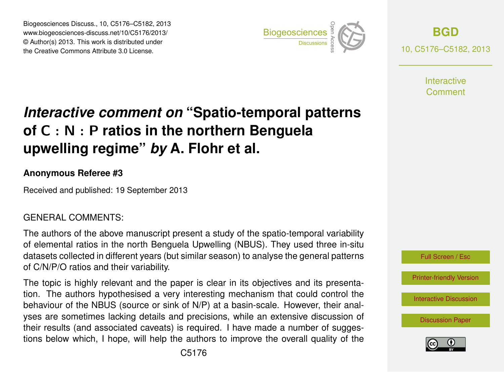Biogeosciences Discuss., 10, C5176–C5182, 2013 www.biogeosciences-discuss.net/10/C5176/2013/ www.biogeosciences-ulscuss.net/10/05170/2013/<br>© Author(s) 2013. This work is distributed under the Creative Commons Attribute 3.0 License.



**[BGD](http://www.biogeosciences-discuss.net)** 10, C5176–C5182, 2013

> **Interactive** Comment

#### Earth System of C  $:$  N  $:$  P ratios in the northern Benguela  $\cdot$  $\overline{\phantom{a}}$ *Interactive comment on* **"Spatio-temporal patterns upwelling regime"** *by* **A. Flohr et al.**

#### Instrumentation **Anonymous Referee #3**

Received and published: 19 September 2013  $\overline{a}$ 

### GENERAL COMMENTS:

above manuscript present a study of the spatio-temporal e: e<br>I The authors of the above manuscript present a study of the spatio-temporal variability datasets collected in different years (but similar season) to analyse the general patterns of C/N/P/O ratios and their variability. SI<br>Ol ۲<br>pr of elemental ratios in the north Benguela Upwelling (NBUS). They used three in-situ

The topic is highly relevant and the paper is clear in its objectives and its presentation. The authors hypothesised a very interesting mechanism that could control the pondition of the trace (course of entire trace) at a sacine sease. Hence, then and o<br>J<br>S O<br>S<br>S .<br>their results (and associated caveats) is required. I have made a number of suggesbehaviour of the NBUS (source or sink of N/P) at a basin-scale. However, their analtions below which, I hope, will help the authors to improve the overall quality of the



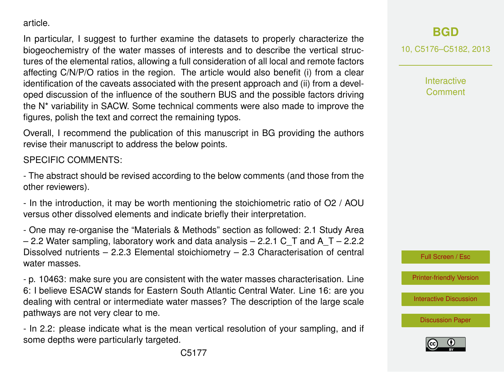#### article.

In particular, I suggest to further examine the datasets to properly characterize the biogeochemistry of the water masses of interests and to describe the vertical structures of the elemental ratios, allowing a full consideration of all local and remote factors affecting C/N/P/O ratios in the region. The article would also benefit (i) from a clear identification of the caveats associated with the present approach and (ii) from a developed discussion of the influence of the southern BUS and the possible factors driving the N\* variability in SACW. Some technical comments were also made to improve the figures, polish the text and correct the remaining typos.

Overall, I recommend the publication of this manuscript in BG providing the authors revise their manuscript to address the below points.

## SPECIFIC COMMENTS:

- The abstract should be revised according to the below comments (and those from the other reviewers).

- In the introduction, it may be worth mentioning the stoichiometric ratio of O2 / AOU versus other dissolved elements and indicate briefly their interpretation.

- One may re-organise the "Materials & Methods" section as followed: 2.1 Study Area  $-$  2.2 Water sampling, laboratory work and data analysis  $-$  2.2.1 C T and A T – 2.2.2 Dissolved nutrients – 2.2.3 Elemental stoichiometry – 2.3 Characterisation of central water masses.

- p. 10463: make sure you are consistent with the water masses characterisation. Line 6: I believe ESACW stands for Eastern South Atlantic Central Water. Line 16: are you dealing with central or intermediate water masses? The description of the large scale pathways are not very clear to me.

- In 2.2: please indicate what is the mean vertical resolution of your sampling, and if some depths were particularly targeted.

# **[BGD](http://www.biogeosciences-discuss.net)**

10, C5176–C5182, 2013

**Interactive Comment** 



[Printer-friendly Version](http://www.biogeosciences-discuss.net/10/C5176/2013/bgd-10-C5176-2013-print.pdf)

[Interactive Discussion](http://www.biogeosciences-discuss.net/10/10459/2013/bgd-10-10459-2013-discussion.html)

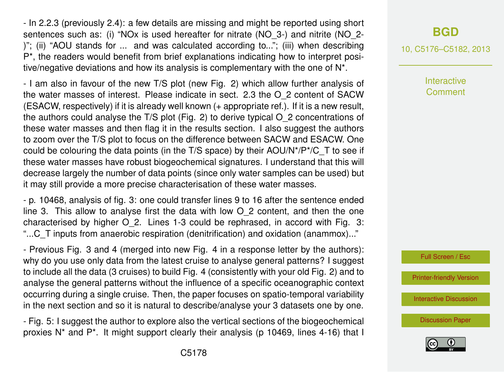- In 2.2.3 (previously 2.4): a few details are missing and might be reported using short sentences such as: (i) "NOx is used hereafter for nitrate (NO\_3-) and nitrite (NO\_2- )"; (ii) "AOU stands for ... and was calculated according to..."; (iii) when describing P\*, the readers would benefit from brief explanations indicating how to interpret positive/negative deviations and how its analysis is complementary with the one of N\*.

- I am also in favour of the new T/S plot (new Fig. 2) which allow further analysis of the water masses of interest. Please indicate in sect. 2.3 the O\_2 content of SACW (ESACW, respectively) if it is already well known (+ appropriate ref.). If it is a new result, the authors could analyse the T/S plot (Fig. 2) to derive typical O\_2 concentrations of these water masses and then flag it in the results section. I also suggest the authors to zoom over the T/S plot to focus on the difference between SACW and ESACW. One could be colouring the data points (in the T/S space) by their AOU/N\*/P\*/C\_T to see if these water masses have robust biogeochemical signatures. I understand that this will decrease largely the number of data points (since only water samples can be used) but it may still provide a more precise characterisation of these water masses.

- p. 10468, analysis of fig. 3: one could transfer lines 9 to 16 after the sentence ended line 3. This allow to analyse first the data with low O\_2 content, and then the one characterised by higher O\_2. Lines 1-3 could be rephrased, in accord with Fig. 3: "...C\_T inputs from anaerobic respiration (denitrification) and oxidation (anammox)..."

- Previous Fig. 3 and 4 (merged into new Fig. 4 in a response letter by the authors): why do you use only data from the latest cruise to analyse general patterns? I suggest to include all the data (3 cruises) to build Fig. 4 (consistently with your old Fig. 2) and to analyse the general patterns without the influence of a specific oceanographic context occurring during a single cruise. Then, the paper focuses on spatio-temporal variability in the next section and so it is natural to describe/analyse your 3 datasets one by one.

- Fig. 5: I suggest the author to explore also the vertical sections of the biogeochemical proxies  $N^*$  and  $P^*$ . It might support clearly their analysis (p 10469, lines 4-16) that I

# **[BGD](http://www.biogeosciences-discuss.net)**

10, C5176–C5182, 2013

**Interactive** Comment



[Printer-friendly Version](http://www.biogeosciences-discuss.net/10/C5176/2013/bgd-10-C5176-2013-print.pdf)

[Interactive Discussion](http://www.biogeosciences-discuss.net/10/10459/2013/bgd-10-10459-2013-discussion.html)

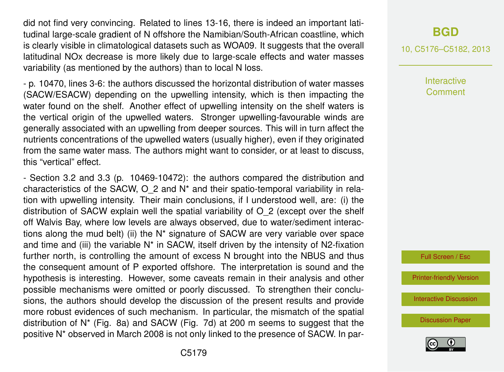did not find very convincing. Related to lines 13-16, there is indeed an important latitudinal large-scale gradient of N offshore the Namibian/South-African coastline, which is clearly visible in climatological datasets such as WOA09. It suggests that the overall latitudinal NOx decrease is more likely due to large-scale effects and water masses variability (as mentioned by the authors) than to local N loss.

- p. 10470, lines 3-6: the authors discussed the horizontal distribution of water masses (SACW/ESACW) depending on the upwelling intensity, which is then impacting the water found on the shelf. Another effect of upwelling intensity on the shelf waters is the vertical origin of the upwelled waters. Stronger upwelling-favourable winds are generally associated with an upwelling from deeper sources. This will in turn affect the nutrients concentrations of the upwelled waters (usually higher), even if they originated from the same water mass. The authors might want to consider, or at least to discuss, this "vertical" effect.

- Section 3.2 and 3.3 (p. 10469-10472): the authors compared the distribution and characteristics of the SACW, O 2 and N<sup>\*</sup> and their spatio-temporal variability in relation with upwelling intensity. Their main conclusions, if I understood well, are: (i) the distribution of SACW explain well the spatial variability of O\_2 (except over the shelf off Walvis Bay, where low levels are always observed, due to water/sediment interactions along the mud belt) (ii) the N\* signature of SACW are very variable over space and time and (iii) the variable N\* in SACW, itself driven by the intensity of N2-fixation further north, is controlling the amount of excess N brought into the NBUS and thus the consequent amount of P exported offshore. The interpretation is sound and the hypothesis is interesting. However, some caveats remain in their analysis and other possible mechanisms were omitted or poorly discussed. To strengthen their conclusions, the authors should develop the discussion of the present results and provide more robust evidences of such mechanism. In particular, the mismatch of the spatial distribution of  $N^*$  (Fig. 8a) and SACW (Fig. 7d) at 200 m seems to suggest that the positive N\* observed in March 2008 is not only linked to the presence of SACW. In par-

# **[BGD](http://www.biogeosciences-discuss.net)**

10, C5176–C5182, 2013

**Interactive Comment** 

Full Screen / Esc

[Printer-friendly Version](http://www.biogeosciences-discuss.net/10/C5176/2013/bgd-10-C5176-2013-print.pdf)

[Interactive Discussion](http://www.biogeosciences-discuss.net/10/10459/2013/bgd-10-10459-2013-discussion.html)

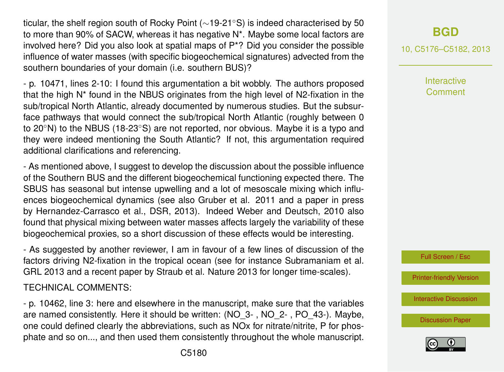ticular, the shelf region south of Rocky Point (∼19-21◦S) is indeed characterised by 50 to more than 90% of SACW, whereas it has negative N\*. Maybe some local factors are involved here? Did you also look at spatial maps of P\*? Did you consider the possible influence of water masses (with specific biogeochemical signatures) advected from the southern boundaries of your domain (i.e. southern BUS)?

- p. 10471, lines 2-10: I found this argumentation a bit wobbly. The authors proposed that the high N\* found in the NBUS originates from the high level of N2-fixation in the sub/tropical North Atlantic, already documented by numerous studies. But the subsurface pathways that would connect the sub/tropical North Atlantic (roughly between 0 to 20◦N) to the NBUS (18-23◦S) are not reported, nor obvious. Maybe it is a typo and they were indeed mentioning the South Atlantic? If not, this argumentation required additional clarifications and referencing.

- As mentioned above, I suggest to develop the discussion about the possible influence of the Southern BUS and the different biogeochemical functioning expected there. The SBUS has seasonal but intense upwelling and a lot of mesoscale mixing which influences biogeochemical dynamics (see also Gruber et al. 2011 and a paper in press by Hernandez-Carrasco et al., DSR, 2013). Indeed Weber and Deutsch, 2010 also found that physical mixing between water masses affects largely the variability of these biogeochemical proxies, so a short discussion of these effects would be interesting.

- As suggested by another reviewer, I am in favour of a few lines of discussion of the factors driving N2-fixation in the tropical ocean (see for instance Subramaniam et al. GRL 2013 and a recent paper by Straub et al. Nature 2013 for longer time-scales).

TECHNICAL COMMENTS:

- p. 10462, line 3: here and elsewhere in the manuscript, make sure that the variables are named consistently. Here it should be written: (NO\_3- , NO\_2- , PO\_43-). Maybe, one could defined clearly the abbreviations, such as NOx for nitrate/nitrite, P for phosphate and so on..., and then used them consistently throughout the whole manuscript.

10, C5176–C5182, 2013

**Interactive Comment** 



[Printer-friendly Version](http://www.biogeosciences-discuss.net/10/C5176/2013/bgd-10-C5176-2013-print.pdf)

[Interactive Discussion](http://www.biogeosciences-discuss.net/10/10459/2013/bgd-10-10459-2013-discussion.html)

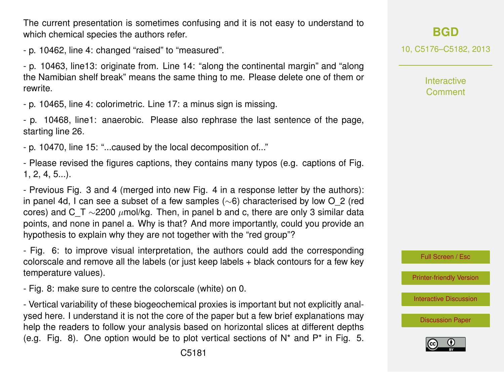The current presentation is sometimes confusing and it is not easy to understand to which chemical species the authors refer.

- p. 10462, line 4: changed "raised" to "measured".

- p. 10463, line13: originate from. Line 14: "along the continental margin" and "along the Namibian shelf break" means the same thing to me. Please delete one of them or rewrite.

- p. 10465, line 4: colorimetric. Line 17: a minus sign is missing.

- p. 10468, line1: anaerobic. Please also rephrase the last sentence of the page, starting line 26.

- p. 10470, line 15: "...caused by the local decomposition of..."

- Please revised the figures captions, they contains many typos (e.g. captions of Fig. 1, 2, 4, 5...).

- Previous Fig. 3 and 4 (merged into new Fig. 4 in a response letter by the authors): in panel 4d, I can see a subset of a few samples (∼6) characterised by low O\_2 (red cores) and C\_T ∼2200 µmol/kg. Then, in panel b and c, there are only 3 similar data points, and none in panel a. Why is that? And more importantly, could you provide an hypothesis to explain why they are not together with the "red group"?

- Fig. 6: to improve visual interpretation, the authors could add the corresponding colorscale and remove all the labels (or just keep labels + black contours for a few key temperature values).

- Fig. 8: make sure to centre the colorscale (white) on 0.

- Vertical variability of these biogeochemical proxies is important but not explicitly analysed here. I understand it is not the core of the paper but a few brief explanations may help the readers to follow your analysis based on horizontal slices at different depths (e.g. Fig. 8). One option would be to plot vertical sections of  $N^*$  and  $P^*$  in Fig. 5. 10, C5176–C5182, 2013

**Interactive Comment** 



[Printer-friendly Version](http://www.biogeosciences-discuss.net/10/C5176/2013/bgd-10-C5176-2013-print.pdf)

[Interactive Discussion](http://www.biogeosciences-discuss.net/10/10459/2013/bgd-10-10459-2013-discussion.html)